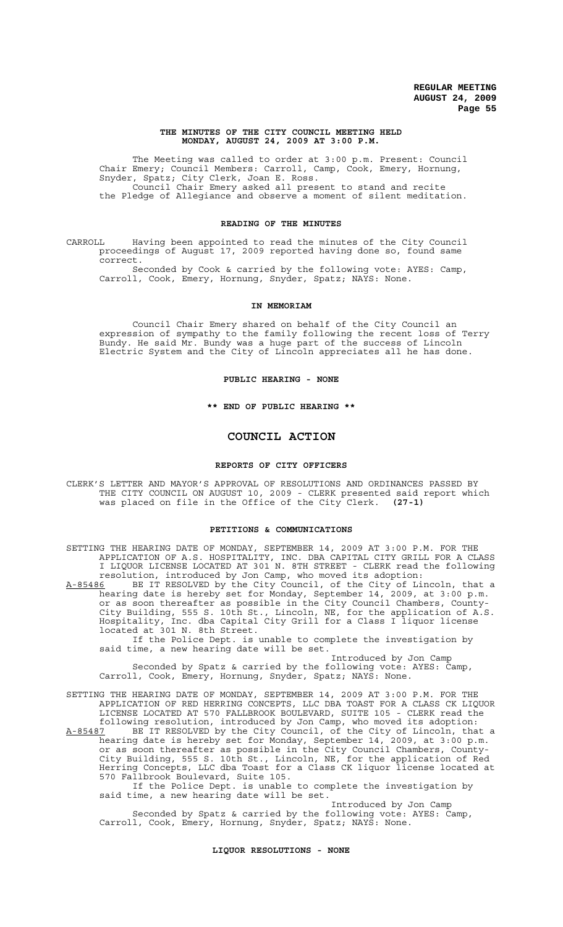## **THE MINUTES OF THE CITY COUNCIL MEETING HELD MONDAY, AUGUST 24, 2009 AT 3:00 P.M.**

The Meeting was called to order at 3:00 p.m. Present: Council Chair Emery; Council Members: Carroll, Camp, Cook, Emery, Hornung, Snyder, Spatz; City Clerk, Joan E. Ross. Council Chair Emery asked all present to stand and recite the Pledge of Allegiance and observe a moment of silent meditation.

# **READING OF THE MINUTES**

CARROLL Having been appointed to read the minutes of the City Council proceedings of August 17, 2009 reported having done so, found same correct.

Seconded by Cook & carried by the following vote: AYES: Camp, Carroll, Cook, Emery, Hornung, Snyder, Spatz; NAYS: None.

### **IN MEMORIAM**

Council Chair Emery shared on behalf of the City Council an expression of sympathy to the family following the recent loss of Terry Bundy. He said Mr. Bundy was a huge part of the success of Lincoln Electric System and the City of Lincoln appreciates all he has done.

### **PUBLIC HEARING - NONE**

**\*\* END OF PUBLIC HEARING \*\***

# **COUNCIL ACTION**

### **REPORTS OF CITY OFFICERS**

CLERK'S LETTER AND MAYOR'S APPROVAL OF RESOLUTIONS AND ORDINANCES PASSED BY THE CITY COUNCIL ON AUGUST 10, 2009 - CLERK presented said report which was placed on file in the Office of the City Clerk. **(27-1)**

# **PETITIONS & COMMUNICATIONS**

SETTING THE HEARING DATE OF MONDAY, SEPTEMBER 14, 2009 AT 3:00 P.M. FOR THE APPLICATION OF A.S. HOSPITALITY, INC. DBA CAPITAL CITY GRILL FOR A CLASS I LIQUOR LICENSE LOCATED AT 301 N. 8TH STREET - CLERK read the following resolution, introduced by Jon Camp, who moved its adoption: A-85486 BE IT RESOLVED by the City Council, of the City of Lincoln, that a hearing date is hereby set for Monday, September 14, 2009, at 3:00 p.m. or as soon thereafter as possible in the City Council Chambers, County-City Building, 555 S. 10th St., Lincoln, NE, for the application of A.S. Hospitality, Inc. dba Capital City Grill for a Class I liquor license located at 301 N. 8th Street. If the Police Dept. is unable to complete the investigation by said time, a new hearing date will be set. Introduced by Jon Camp Seconded by Spatz & carried by the following vote: AYES: Camp, Carroll, Cook, Emery, Hornung, Snyder, Spatz; NAYS: None. SETTING THE HEARING DATE OF MONDAY, SEPTEMBER 14, 2009 AT 3:00 P.M. FOR THE APPLICATION OF RED HERRING CONCEPTS, LLC DBA TOAST FOR A CLASS CK LIQUOR LICENSE LOCATED AT 570 FALLBROOK BOULEVARD, SUITE 105 - CLERK read the

following resolution, introduced by Jon Camp, who moved its adoption: A-85487 BE IT RESOLVED by the City Council, of the City of Lincoln, that a hearing date is hereby set for Monday, September 14, 2009, at 3:00 p.m. or as soon thereafter as possible in the City Council Chambers, County-City Building, 555 S. 10th St., Lincoln, NE, for the application of Red Herring Concepts, LLC dba Toast for a Class CK liquor license located at 570 Fallbrook Boulevard, Suite 105.

If the Police Dept. is unable to complete the investigation by said time, a new hearing date will be set.

Introduced by Jon Camp Seconded by Spatz & carried by the following vote: AYES: Camp, Carroll, Cook, Emery, Hornung, Snyder, Spatz; NAYS: None.

### **LIQUOR RESOLUTIONS - NONE**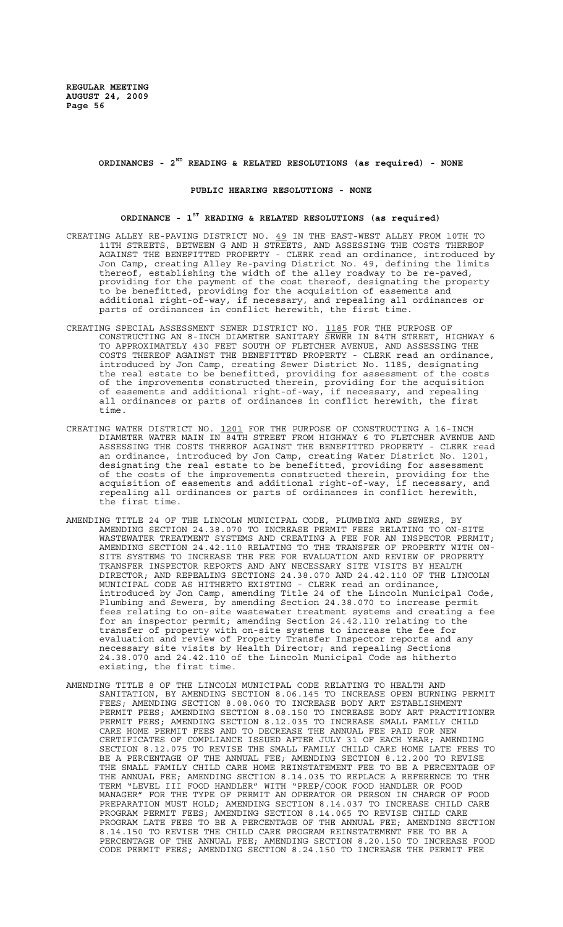# **ORDINANCES - 2ND READING & RELATED RESOLUTIONS (as required) - NONE**

## **PUBLIC HEARING RESOLUTIONS - NONE**

# **ORDINANCE - 1ST READING & RELATED RESOLUTIONS (as required)**

- CREATING ALLEY RE-PAVING DISTRICT NO. 49 IN THE EAST-WEST ALLEY FROM 10TH TO 11TH STREETS, BETWEEN G AND H STREETS, AND ASSESSING THE COSTS THEREOF AGAINST THE BENEFITTED PROPERTY - CLERK read an ordinance, introduced by Jon Camp, creating Alley Re-paving District No. 49, defining the limits thereof, establishing the width of the alley roadway to be re-paved, providing for the payment of the cost thereof, designating the property to be benefitted, providing for the acquisition of easements and additional right-of-way, if necessary, and repealing all ordinances or parts of ordinances in conflict herewith, the first time.
- CREATING SPECIAL ASSESSMENT SEWER DISTRICT NO. 1185 FOR THE PURPOSE OF CONSTRUCTING AN 8-INCH DIAMETER SANITARY SEWER IN 84TH STREET, HIGHWAY 6 TO APPROXIMATELY 430 FEET SOUTH OF FLETCHER AVENUE, AND ASSESSING THE COSTS THEREOF AGAINST THE BENEFITTED PROPERTY - CLERK read an ordinance, introduced by Jon Camp, creating Sewer District No. 1185, designating the real estate to be benefitted, providing for assessment of the costs of the improvements constructed therein, providing for the acquisition of easements and additional right-of-way, if necessary, and repealing all ordinances or parts of ordinances in conflict herewith, the first time.
- CREATING WATER DISTRICT NO. 1201 FOR THE PURPOSE OF CONSTRUCTING A 16-INCH DIAMETER WATER MAIN IN 84TH STREET FROM HIGHWAY 6 TO FLETCHER AVENUE AND ASSESSING THE COSTS THEREOF AGAINST THE BENEFITTED PROPERTY - CLERK read an ordinance, introduced by Jon Camp, creating Water District No. 1201, designating the real estate to be benefitted, providing for assessment of the costs of the improvements constructed therein, providing for the acquisition of easements and additional right-of-way, if necessary, and repealing all ordinances or parts of ordinances in conflict herewith, the first time.
- AMENDING TITLE 24 OF THE LINCOLN MUNICIPAL CODE, PLUMBING AND SEWERS, BY AMENDING SECTION 24.38.070 TO INCREASE PERMIT FEES RELATING TO ON-SITE WASTEWATER TREATMENT SYSTEMS AND CREATING A FEE FOR AN INSPECTOR PERMIT; AMENDING SECTION 24.42.110 RELATING TO THE TRANSFER OF PROPERTY WITH ON-SITE SYSTEMS TO INCREASE THE FEE FOR EVALUATION AND REVIEW OF PROPERTY TRANSFER INSPECTOR REPORTS AND ANY NECESSARY SITE VISITS BY HEALTH DIRECTOR; AND REPEALING SECTIONS 24.38.070 AND 24.42.110 OF THE LINCOLN MUNICIPAL CODE AS HITHERTO EXISTING - CLERK read an ordinance, introduced by Jon Camp, amending Title 24 of the Lincoln Municipal Code, Plumbing and Sewers, by amending Section 24.38.070 to increase permit fees relating to on-site wastewater treatment systems and creating a fee for an inspector permit; amending Section 24.42.110 relating to the transfer of property with on-site systems to increase the fee for evaluation and review of Property Transfer Inspector reports and any necessary site visits by Health Director; and repealing Sections 24.38.070 and 24.42.110 of the Lincoln Municipal Code as hitherto existing, the first time.
- AMENDING TITLE 8 OF THE LINCOLN MUNICIPAL CODE RELATING TO HEALTH AND SANITATION, BY AMENDING SECTION 8.06.145 TO INCREASE OPEN BURNING PERMIT FEES; AMENDING SECTION 8.08.060 TO INCREASE BODY ART ESTABLISHMENT PERMIT FEES; AMENDING SECTION 8.08.150 TO INCREASE BODY ART PRACTITIONER PERMIT FEES; AMENDING SECTION 8.12.035 TO INCREASE SMALL FAMILY CHILD CARE HOME PERMIT FEES AND TO DECREASE THE ANNUAL FEE PAID FOR NEW CERTIFICATES OF COMPLIANCE ISSUED AFTER JULY 31 OF EACH YEAR; AMENDING SECTION 8.12.075 TO REVISE THE SMALL FAMILY CHILD CARE HOME LATE FEES TO BE A PERCENTAGE OF THE ANNUAL FEE; AMENDING SECTION 8.12.200 TO REVISE THE SMALL FAMILY CHILD CARE HOME REINSTATEMENT FEE TO BE A PERCENTAGE OF THE ANNUAL FEE; AMENDING SECTION 8.14.035 TO REPLACE A REFERENCE TO THE TERM "LEVEL III FOOD HANDLER" WITH "PREP/COOK FOOD HANDLER OR FOOD MANAGER" FOR THE TYPE OF PERMIT AN OPERATOR OR PERSON IN CHARGE OF FOOD PREPARATION MUST HOLD; AMENDING SECTION 8.14.037 TO INCREASE CHILD CARE PROGRAM PERMIT FEES; AMENDING SECTION 8.14.065 TO REVISE CHILD CARE PROGRAM LATE FEES TO BE A PERCENTAGE OF THE ANNUAL FEE; AMENDING SECTION 8.14.150 TO REVISE THE CHILD CARE PROGRAM REINSTATEMENT FEE TO BE A PERCENTAGE OF THE ANNUAL FEE; AMENDING SECTION 8.20.150 TO INCREASE FOOD CODE PERMIT FEES; AMENDING SECTION 8.24.150 TO INCREASE THE PERMIT FEE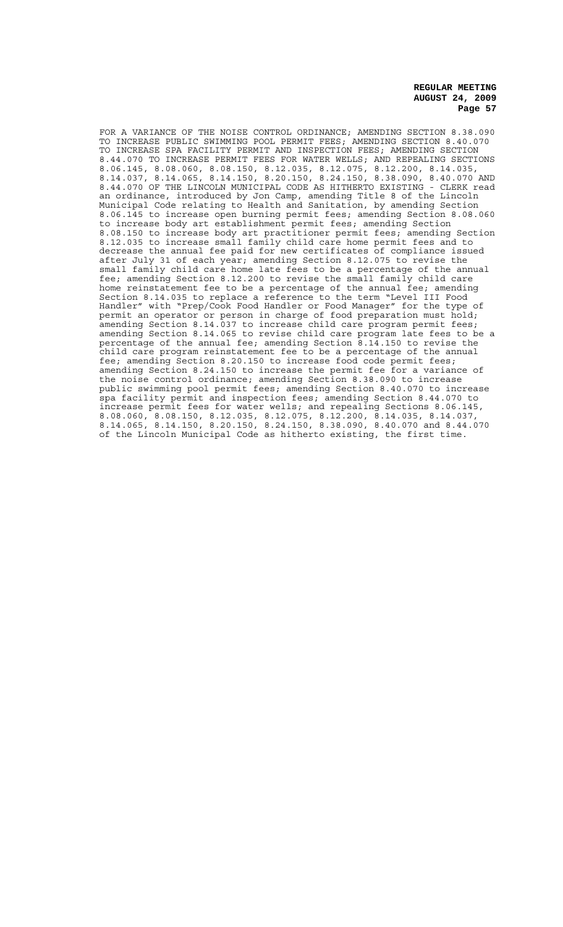FOR A VARIANCE OF THE NOISE CONTROL ORDINANCE; AMENDING SECTION 8.38.090 TO INCREASE PUBLIC SWIMMING POOL PERMIT FEES; AMENDING SECTION 8.40.070 TO INCREASE SPA FACILITY PERMIT AND INSPECTION FEES; AMENDING SECTION 8.44.070 TO INCREASE PERMIT FEES FOR WATER WELLS; AND REPEALING SECTIONS 8.06.145, 8.08.060, 8.08.150, 8.12.035, 8.12.075, 8.12.200, 8.14.035, 8.14.037, 8.14.065, 8.14.150, 8.20.150, 8.24.150, 8.38.090, 8.40.070 AND 8.44.070 OF THE LINCOLN MUNICIPAL CODE AS HITHERTO EXISTING - CLERK read an ordinance, introduced by Jon Camp, amending Title 8 of the Lincoln Municipal Code relating to Health and Sanitation, by amending Section 8.06.145 to increase open burning permit fees; amending Section 8.08.060 to increase body art establishment permit fees; amending Section 8.08.150 to increase body art practitioner permit fees; amending Section 8.12.035 to increase small family child care home permit fees and to decrease the annual fee paid for new certificates of compliance issued after July 31 of each year; amending Section 8.12.075 to revise the small family child care home late fees to be a percentage of the annual fee; amending Section 8.12.200 to revise the small family child care home reinstatement fee to be a percentage of the annual fee; amending Section 8.14.035 to replace a reference to the term "Level III Food Handler" with "Prep/Cook Food Handler or Food Manager" for the type of permit an operator or person in charge of food preparation must hold; amending Section 8.14.037 to increase child care program permit fees; amending Section 8.14.065 to revise child care program late fees to be a percentage of the annual fee; amending Section 8.14.150 to revise the child care program reinstatement fee to be a percentage of the annual fee; amending Section 8.20.150 to increase food code permit fees; amending Section 8.24.150 to increase the permit fee for a variance of the noise control ordinance; amending Section 8.38.090 to increase public swimming pool permit fees; amending Section 8.40.070 to increase spa facility permit and inspection fees; amending Section 8.44.070 to increase permit fees for water wells; and repealing Sections 8.06.145, 8.08.060, 8.08.150, 8.12.035, 8.12.075, 8.12.200, 8.14.035, 8.14.037, 8.14.065, 8.14.150, 8.20.150, 8.24.150, 8.38.090, 8.40.070 and 8.44.070 of the Lincoln Municipal Code as hitherto existing, the first time.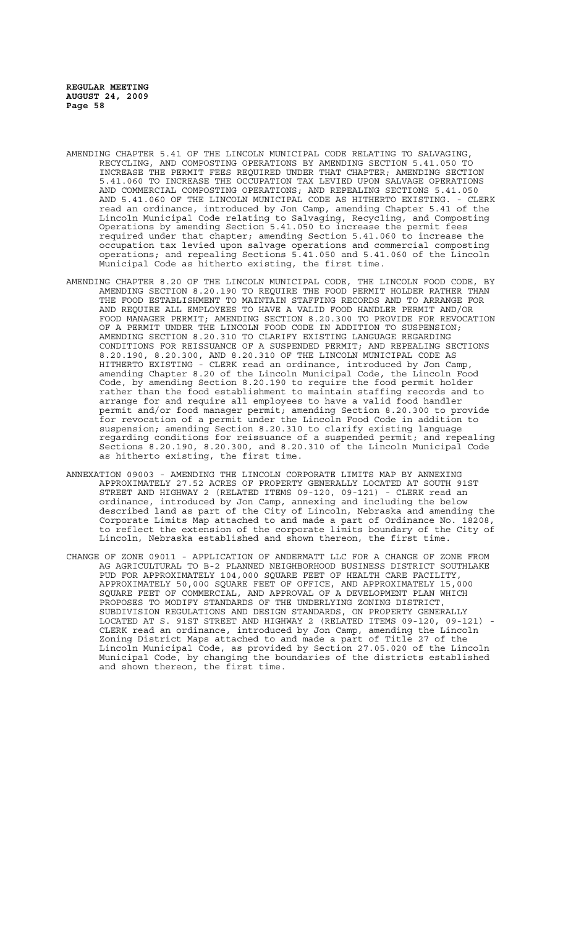- AMENDING CHAPTER 5.41 OF THE LINCOLN MUNICIPAL CODE RELATING TO SALVAGING, RECYCLING, AND COMPOSTING OPERATIONS BY AMENDING SECTION 5.41.050 TO INCREASE THE PERMIT FEES REQUIRED UNDER THAT CHAPTER; AMENDING SECTION 5.41.060 TO INCREASE THE OCCUPATION TAX LEVIED UPON SALVAGE OPERATIONS AND COMMERCIAL COMPOSTING OPERATIONS; AND REPEALING SECTIONS 5.41.050 AND 5.41.060 OF THE LINCOLN MUNICIPAL CODE AS HITHERTO EXISTING. - CLERK read an ordinance, introduced by Jon Camp, amending Chapter 5.41 of the Lincoln Municipal Code relating to Salvaging, Recycling, and Composting Operations by amending Section 5.41.050 to increase the permit fees required under that chapter; amending Section 5.41.060 to increase the occupation tax levied upon salvage operations and commercial composting operations; and repealing Sections 5.41.050 and 5.41.060 of the Lincoln Municipal Code as hitherto existing, the first time.
- AMENDING CHAPTER 8.20 OF THE LINCOLN MUNICIPAL CODE, THE LINCOLN FOOD CODE, BY AMENDING SECTION 8.20.190 TO REQUIRE THE FOOD PERMIT HOLDER RATHER THAN THE FOOD ESTABLISHMENT TO MAINTAIN STAFFING RECORDS AND TO ARRANGE FOR AND REQUIRE ALL EMPLOYEES TO HAVE A VALID FOOD HANDLER PERMIT AND/OR FOOD MANAGER PERMIT; AMENDING SECTION 8.20.300 TO PROVIDE FOR REVOCATION OF A PERMIT UNDER THE LINCOLN FOOD CODE IN ADDITION TO SUSPENSION; AMENDING SECTION 8.20.310 TO CLARIFY EXISTING LANGUAGE REGARDING CONDITIONS FOR REISSUANCE OF A SUSPENDED PERMIT; AND REPEALING SECTIONS 8.20.190, 8.20.300, AND 8.20.310 OF THE LINCOLN MUNICIPAL CODE AS HITHERTO EXISTING - CLERK read an ordinance, introduced by Jon Camp, amending Chapter 8.20 of the Lincoln Municipal Code, the Lincoln Food Code, by amending Section 8.20.190 to require the food permit holder rather than the food establishment to maintain staffing records and to arrange for and require all employees to have a valid food handler permit and/or food manager permit; amending Section 8.20.300 to provide for revocation of a permit under the Lincoln Food Code in addition to suspension; amending Section 8.20.310 to clarify existing language regarding conditions for reissuance of a suspended permit; and repealing Sections 8.20.190, 8.20.300, and 8.20.310 of the Lincoln Municipal Code as hitherto existing, the first time.
- ANNEXATION 09003 AMENDING THE LINCOLN CORPORATE LIMITS MAP BY ANNEXING APPROXIMATELY 27.52 ACRES OF PROPERTY GENERALLY LOCATED AT SOUTH 91ST STREET AND HIGHWAY 2 (RELATED ITEMS 09-120, 09-121) - CLERK read an ordinance, introduced by Jon Camp, annexing and including the below described land as part of the City of Lincoln, Nebraska and amending the Corporate Limits Map attached to and made a part of Ordinance No. 18208, to reflect the extension of the corporate limits boundary of the City of Lincoln, Nebraska established and shown thereon, the first time.
- CHANGE OF ZONE 09011 APPLICATION OF ANDERMATT LLC FOR A CHANGE OF ZONE FROM AG AGRICULTURAL TO B-2 PLANNED NEIGHBORHOOD BUSINESS DISTRICT SOUTHLAKE PUD FOR APPROXIMATELY 104,000 SQUARE FEET OF HEALTH CARE FACILITY, APPROXIMATELY 50,000 SQUARE FEET OF OFFICE, AND APPROXIMATELY 15,000 SQUARE FEET OF COMMERCIAL, AND APPROVAL OF A DEVELOPMENT PLAN WHICH PROPOSES TO MODIFY STANDARDS OF THE UNDERLYING ZONING DISTRICT, SUBDIVISION REGULATIONS AND DESIGN STANDARDS, ON PROPERTY GENERALLY LOCATED AT S. 91ST STREET AND HIGHWAY 2 (RELATED ITEMS 09-120, 09-121) - CLERK read an ordinance, introduced by Jon Camp, amending the Lincoln Zoning District Maps attached to and made a part of Title 27 of the Lincoln Municipal Code, as provided by Section 27.05.020 of the Lincoln Municipal Code, by changing the boundaries of the districts established and shown thereon, the first time.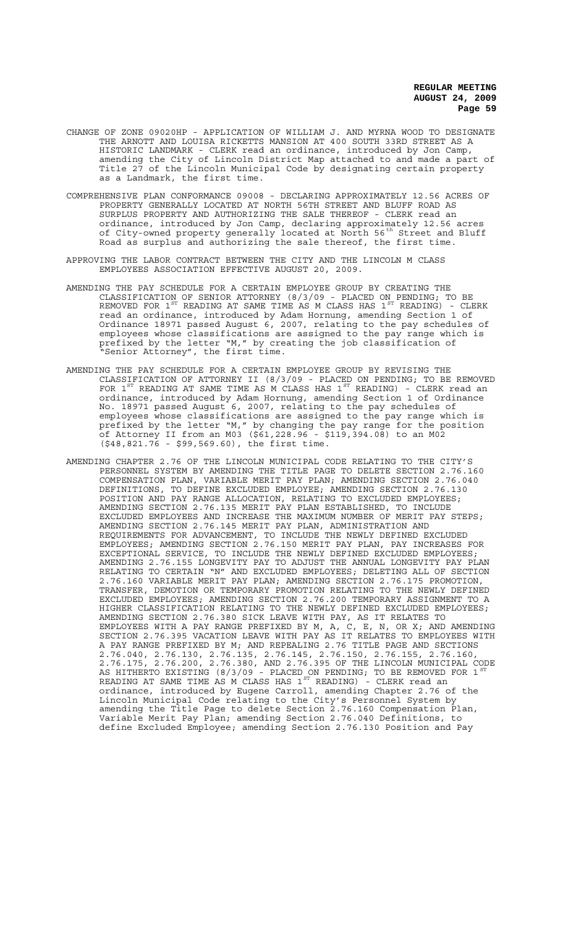- CHANGE OF ZONE 09020HP APPLICATION OF WILLIAM J. AND MYRNA WOOD TO DESIGNATE THE ARNOTT AND LOUISA RICKETTS MANSION AT 400 SOUTH 33RD STREET AS A HISTORIC LANDMARK - CLERK read an ordinance, introduced by Jon Camp, amending the City of Lincoln District Map attached to and made a part of Title 27 of the Lincoln Municipal Code by designating certain property as a Landmark, the first time.
- COMPREHENSIVE PLAN CONFORMANCE 09008 DECLARING APPROXIMATELY 12.56 ACRES OF PROPERTY GENERALLY LOCATED AT NORTH 56TH STREET AND BLUFF ROAD AS SURPLUS PROPERTY AND AUTHORIZING THE SALE THEREOF - CLERK read an ordinance, introduced by Jon Camp, declaring approximately 12.56 acres of City-owned property generally located at North 56<sup>th</sup> Street and Bluff Road as surplus and authorizing the sale thereof, the first time.
- APPROVING THE LABOR CONTRACT BETWEEN THE CITY AND THE LINCOLN M CLASS EMPLOYEES ASSOCIATION EFFECTIVE AUGUST 20, 2009.
- AMENDING THE PAY SCHEDULE FOR A CERTAIN EMPLOYEE GROUP BY CREATING THE CLASSIFICATION OF SENIOR ATTORNEY (8/3/09 - PLACED ON PENDING; TO BE REMOVED FOR  $1^\text{ST}$  READING AT SAME TIME AS M CLASS HAS  $1^\text{ST}$  READING) - CLERK read an ordinance, introduced by Adam Hornung, amending Section 1 of Ordinance 18971 passed August 6, 2007, relating to the pay schedules of employees whose classifications are assigned to the pay range which is prefixed by the letter "M," by creating the job classification of "Senior Attorney", the first time.
- AMENDING THE PAY SCHEDULE FOR A CERTAIN EMPLOYEE GROUP BY REVISING THE CLASSIFICATION OF ATTORNEY II (8/3/09 - PLACED ON PENDING; TO BE REMOVED FOR  $1^{ST}$  READING AT SAME TIME AS M CLASS HAS  $1^{ST}$  READING) - CLERK read an ordinance, introduced by Adam Hornung, amending Section 1 of Ordinance No. 18971 passed August 6, 2007, relating to the pay schedules of employees whose classifications are assigned to the pay range which is prefixed by the letter "M," by changing the pay range for the position of Attorney II from an M03 (\$61,228.96 - \$119,394.08) to an M02 (\$48,821.76 - \$99,569.60), the first time.
- AMENDING CHAPTER 2.76 OF THE LINCOLN MUNICIPAL CODE RELATING TO THE CITY'S PERSONNEL SYSTEM BY AMENDING THE TITLE PAGE TO DELETE SECTION 2.76.160 COMPENSATION PLAN, VARIABLE MERIT PAY PLAN; AMENDING SECTION 2.76.040 DEFINITIONS, TO DEFINE EXCLUDED EMPLOYEE; AMENDING SECTION 2.76.130 POSITION AND PAY RANGE ALLOCATION, RELATING TO EXCLUDED EMPLOYEES; AMENDING SECTION 2.76.135 MERIT PAY PLAN ESTABLISHED, TO INCLUDE EXCLUDED EMPLOYEES AND INCREASE THE MAXIMUM NUMBER OF MERIT PAY STEPS; AMENDING SECTION 2.76.145 MERIT PAY PLAN, ADMINISTRATION AND REQUIREMENTS FOR ADVANCEMENT, TO INCLUDE THE NEWLY DEFINED EXCLUDED EMPLOYEES; AMENDING SECTION 2.76.150 MERIT PAY PLAN, PAY INCREASES FOR EXCEPTIONAL SERVICE, TO INCLUDE THE NEWLY DEFINED EXCLUDED EMPLOYEES; AMENDING 2.76.155 LONGEVITY PAY TO ADJUST THE ANNUAL LONGEVITY PAY PLAN RELATING TO CERTAIN "N" AND EXCLUDED EMPLOYEES; DELETING ALL OF SECTION 2.76.160 VARIABLE MERIT PAY PLAN; AMENDING SECTION 2.76.175 PROMOTION, TRANSFER, DEMOTION OR TEMPORARY PROMOTION RELATING TO THE NEWLY DEFINED EXCLUDED EMPLOYEES; AMENDING SECTION 2.76.200 TEMPORARY ASSIGNMENT TO A HIGHER CLASSIFICATION RELATING TO THE NEWLY DEFINED EXCLUDED EMPLOYEES; AMENDING SECTION 2.76.380 SICK LEAVE WITH PAY, AS IT RELATES TO EMPLOYEES WITH A PAY RANGE PREFIXED BY M, A, C, E, N, OR X; AND AMENDING SECTION 2.76.395 VACATION LEAVE WITH PAY AS IT RELATES TO EMPLOYEES WITH A PAY RANGE PREFIXED BY M; AND REPEALING 2.76 TITLE PAGE AND SECTIONS 2.76.040, 2.76.130, 2.76.135, 2.76.145, 2.76.150, 2.76.155, 2.76.160, 2.76.175, 2.76.200, 2.76.380, AND 2.76.395 OF THE LINCOLN MUNICIPAL CODE AS HITHERTO EXISTING (8/3/09 - PLACED ON PENDING; TO BE REMOVED FOR 1  $^{\rm{ST}}$ READING AT SAME TIME AS M CLASS HAS  $1^{\text{ST}}$  READING) - CLERK read an ordinance, introduced by Eugene Carroll, amending Chapter 2.76 of the Lincoln Municipal Code relating to the City's Personnel System by amending the Title Page to delete Section 2.76.160 Compensation Plan, Variable Merit Pay Plan; amending Section 2.76.040 Definitions, to define Excluded Employee; amending Section 2.76.130 Position and Pay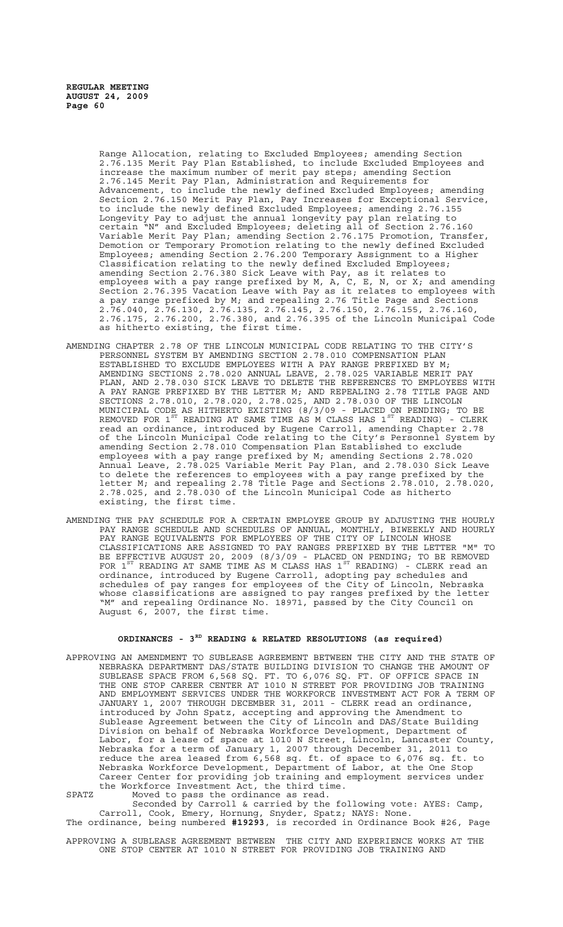Range Allocation, relating to Excluded Employees; amending Section 2.76.135 Merit Pay Plan Established, to include Excluded Employees and increase the maximum number of merit pay steps; amending Section 2.76.145 Merit Pay Plan, Administration and Requirements for Advancement, to include the newly defined Excluded Employees; amending Section 2.76.150 Merit Pay Plan, Pay Increases for Exceptional Service, to include the newly defined Excluded Employees; amending 2.76.155 Longevity Pay to adjust the annual longevity pay plan relating to certain "N" and Excluded Employees; deleting all of Section 2.76.160 Variable Merit Pay Plan; amending Section 2.76.175 Promotion, Transfer, Demotion or Temporary Promotion relating to the newly defined Excluded Employees; amending Section 2.76.200 Temporary Assignment to a Higher Classification relating to the newly defined Excluded Employees; amending Section 2.76.380 Sick Leave with Pay, as it relates to employees with a pay range prefixed by M, A, C, E, N, or X; and amending Section 2.76.395 Vacation Leave with Pay as it relates to employees with a pay range prefixed by M; and repealing 2.76 Title Page and Sections 2.76.040, 2.76.130, 2.76.135, 2.76.145, 2.76.150, 2.76.155, 2.76.160, 2.76.175, 2.76.200, 2.76.380, and 2.76.395 of the Lincoln Municipal Code as hitherto existing, the first time.

- AMENDING CHAPTER 2.78 OF THE LINCOLN MUNICIPAL CODE RELATING TO THE CITY'S PERSONNEL SYSTEM BY AMENDING SECTION 2.78.010 COMPENSATION PLAN ESTABLISHED TO EXCLUDE EMPLOYEES WITH A PAY RANGE PREFIXED BY M; AMENDING SECTIONS 2.78.020 ANNUAL LEAVE, 2.78.025 VARIABLE MERIT PAY PLAN, AND 2.78.030 SICK LEAVE TO DELETE THE REFERENCES TO EMPLOYEES WITH A PAY RANGE PREFIXED BY THE LETTER M; AND REPEALING 2.78 TITLE PAGE AND SECTIONS 2.78.010, 2.78.020, 2.78.025, AND 2.78.030 OF THE LINCOLN MUNICIPAL CODE AS HITHERTO EXISTING (8/3/09 - PLACED ON PENDING; TO BE REMOVED FOR  $1^\text{ST}$  READING AT SAME TIME AS M CLASS HAS  $1^\text{ST}$  READING) - CLERK read an ordinance, introduced by Eugene Carroll, amending Chapter 2.78 of the Lincoln Municipal Code relating to the City's Personnel System by amending Section 2.78.010 Compensation Plan Established to exclude employees with a pay range prefixed by M; amending Sections 2.78.020 Annual Leave, 2.78.025 Variable Merit Pay Plan, and 2.78.030 Sick Leave to delete the references to employees with a pay range prefixed by the letter M; and repealing 2.78 Title Page and Sections 2.78.010, 2.78.020, 2.78.025, and 2.78.030 of the Lincoln Municipal Code as hitherto existing, the first time.
- AMENDING THE PAY SCHEDULE FOR A CERTAIN EMPLOYEE GROUP BY ADJUSTING THE HOURLY PAY RANGE SCHEDULE AND SCHEDULES OF ANNUAL, MONTHLY, BIWEEKLY AND HOURLY PAY RANGE EQUIVALENTS FOR EMPLOYEES OF THE CITY OF LINCOLN WHOSE CLASSIFICATIONS ARE ASSIGNED TO PAY RANGES PREFIXED BY THE LETTER "M" TO BE EFFECTIVE AUGUST 20, 2009 (8/3/09 - PLACED ON PENDING; TO BE REMOVED FOR  $1^{ST}$  READING AT SAME TIME AS M CLASS HAS  $1^{ST}$  READING) - CLERK read an ordinance, introduced by Eugene Carroll, adopting pay schedules and schedules of pay ranges for employees of the City of Lincoln, Nebraska whose classifications are assigned to pay ranges prefixed by the letter "M" and repealing Ordinance No. 18971, passed by the City Council on August 6, 2007, the first time.

# **ORDINANCES - 3RD READING & RELATED RESOLUTIONS (as required)**

APPROVING AN AMENDMENT TO SUBLEASE AGREEMENT BETWEEN THE CITY AND THE STATE OF NEBRASKA DEPARTMENT DAS/STATE BUILDING DIVISION TO CHANGE THE AMOUNT OF SUBLEASE SPACE FROM 6,568 SQ. FT. TO 6,076 SQ. FT. OF OFFICE SPACE IN THE ONE STOP CAREER CENTER AT 1010 N STREET FOR PROVIDING JOB TRAINING AND EMPLOYMENT SERVICES UNDER THE WORKFORCE INVESTMENT ACT FOR A TERM OF JANUARY 1, 2007 THROUGH DECEMBER 31, 2011 - CLERK read an ordinance, introduced by John Spatz, accepting and approving the Amendment to Sublease Agreement between the City of Lincoln and DAS/State Building Division on behalf of Nebraska Workforce Development, Department of Labor, for a lease of space at 1010 N Street, Lincoln, Lancaster County, Nebraska for a term of January 1, 2007 through December 31, 2011 to reduce the area leased from 6,568 sq. ft. of space to 6,076 sq. ft. to Nebraska Workforce Development, Department of Labor, at the One Stop Career Center for providing job training and employment services under the Workforce Investment Act, the third time. SPATZ Moved to pass the ordinance as read.

Seconded by Carroll & carried by the following vote: AYES: Camp, Carroll, Cook, Emery, Hornung, Snyder, Spatz; NAYS: None. The ordinance, being numbered **#19293**, is recorded in Ordinance Book #26, Page

APPROVING A SUBLEASE AGREEMENT BETWEEN THE CITY AND EXPERIENCE WORKS AT THE ONE STOP CENTER AT 1010 N STREET FOR PROVIDING JOB TRAINING AND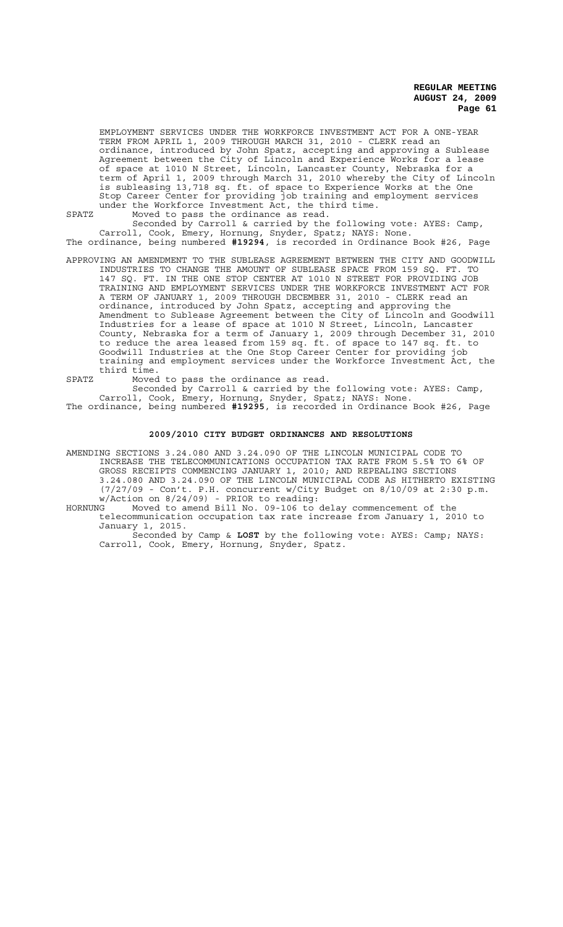EMPLOYMENT SERVICES UNDER THE WORKFORCE INVESTMENT ACT FOR A ONE-YEAR TERM FROM APRIL 1, 2009 THROUGH MARCH 31, 2010 - CLERK read an ordinance, introduced by John Spatz, accepting and approving a Sublease Agreement between the City of Lincoln and Experience Works for a lease of space at 1010 N Street, Lincoln, Lancaster County, Nebraska for a term of April 1, 2009 through March 31, 2010 whereby the City of Lincoln is subleasing 13,718 sq. ft. of space to Experience Works at the One Stop Career Center for providing job training and employment services under the Workforce Investment Act, the third time.

SPATZ Moved to pass the ordinance as read.

Seconded by Carroll & carried by the following vote: AYES: Camp, Carroll, Cook, Emery, Hornung, Snyder, Spatz; NAYS: None. The ordinance, being numbered **#19294**, is recorded in Ordinance Book #26, Page

- APPROVING AN AMENDMENT TO THE SUBLEASE AGREEMENT BETWEEN THE CITY AND GOODWILL INDUSTRIES TO CHANGE THE AMOUNT OF SUBLEASE SPACE FROM 159 SQ. FT. TO 147 SQ. FT. IN THE ONE STOP CENTER AT 1010 N STREET FOR PROVIDING JOB TRAINING AND EMPLOYMENT SERVICES UNDER THE WORKFORCE INVESTMENT ACT FOR A TERM OF JANUARY 1, 2009 THROUGH DECEMBER 31, 2010 - CLERK read an ordinance, introduced by John Spatz, accepting and approving the Amendment to Sublease Agreement between the City of Lincoln and Goodwill Industries for a lease of space at 1010 N Street, Lincoln, Lancaster County, Nebraska for a term of January 1, 2009 through December 31, 2010 to reduce the area leased from 159 sq. ft. of space to 147 sq. ft. to Goodwill Industries at the One Stop Career Center for providing job training and employment services under the Workforce Investment Act, the third time.
- SPATZ Moved to pass the ordinance as read.

Seconded by Carroll & carried by the following vote: AYES: Camp, Carroll, Cook, Emery, Hornung, Snyder, Spatz; NAYS: None. The ordinance, being numbered **#19295**, is recorded in Ordinance Book #26, Page

#### **2009/2010 CITY BUDGET ORDINANCES AND RESOLUTIONS**

AMENDING SECTIONS 3.24.080 AND 3.24.090 OF THE LINCOLN MUNICIPAL CODE TO INCREASE THE TELECOMMUNICATIONS OCCUPATION TAX RATE FROM 5.5% TO 6% OF GROSS RECEIPTS COMMENCING JANUARY 1, 2010; AND REPEALING SECTIONS 3.24.080 AND 3.24.090 OF THE LINCOLN MUNICIPAL CODE AS HITHERTO EXISTING  $(7/27/09$  - Con't. P.H. concurrent w/City Budget on 8/10/09 at 2:30 p.m. w/Action on 8/24/09) - PRIOR to reading:

HORNUNG Moved to amend Bill No. 09-106 to delay commencement of the telecommunication occupation tax rate increase from January 1, 2010 to January 1, 2015.

Seconded by Camp & **LOST** by the following vote: AYES: Camp; NAYS: Carroll, Cook, Emery, Hornung, Snyder, Spatz.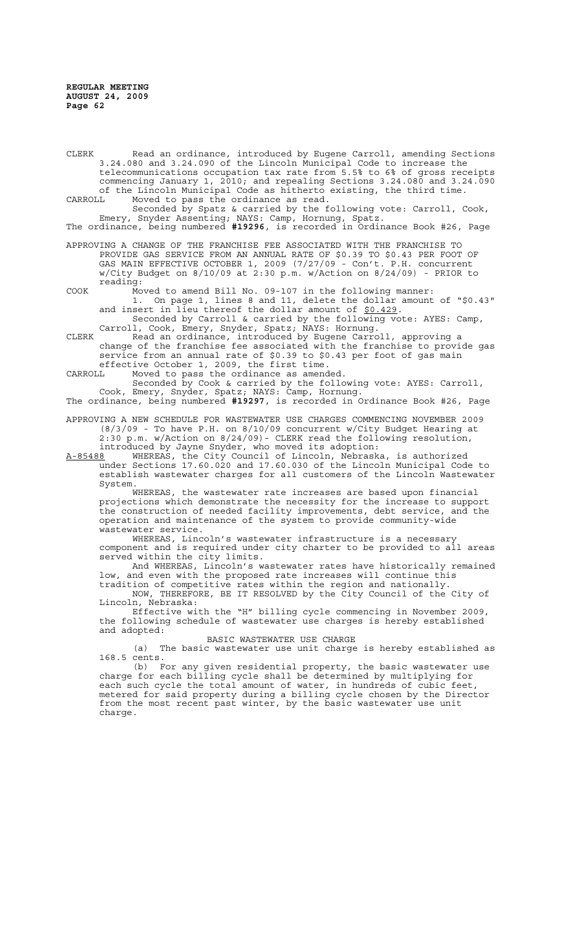CLERK Read an ordinance, introduced by Eugene Carroll, amending Sections 3.24.080 and 3.24.090 of the Lincoln Municipal Code to increase the telecommunications occupation tax rate from 5.5% to 6% of gross receipts commencing January 1, 2010; and repealing Sections 3.24.080 and 3.24.090 of the Lincoln Municipal Code as hitherto existing, the third time.<br>CARROLL Moved to pass the ordinance as read. Moved to pass the ordinance as read.

Seconded by Spatz & carried by the following vote: Carroll, Cook, Emery, Snyder Assenting; NAYS: Camp, Hornung, Spatz. The ordinance, being numbered **#19296**, is recorded in Ordinance Book #26, Page

APPROVING A CHANGE OF THE FRANCHISE FEE ASSOCIATED WITH THE FRANCHISE TO PROVIDE GAS SERVICE FROM AN ANNUAL RATE OF \$0.39 TO \$0.43 PER FOOT OF GAS MAIN EFFECTIVE OCTOBER 1, 2009 (7/27/09 - Con't. P.H. concurrent w/City Budget on 8/10/09 at 2:30 p.m. w/Action on 8/24/09) - PRIOR to reading:

COOK Moved to amend Bill No. 09-107 in the following manner: 1. On page 1, lines 8 and 11, delete the dollar amount of "\$0.43" and insert in lieu thereof the dollar amount of \$0.429.

Seconded by Carroll & carried by the following vote: AYES: Camp, Carroll, Cook, Emery, Snyder, Spatz; NAYS: Hornung.

CLERK Read an ordinance, introduced by Eugene Carroll, approving a change of the franchise fee associated with the franchise to provide gas service from an annual rate of \$0.39 to \$0.43 per foot of gas main effective October 1, 2009, the first time.

CARROLL Moved to pass the ordinance as amended.

Seconded by Cook & carried by the following vote: AYES: Carroll, Cook, Emery, Snyder, Spatz; NAYS: Camp, Hornung.

The ordinance, being numbered **#19297**, is recorded in Ordinance Book #26, Page APPROVING A NEW SCHEDULE FOR WASTEWATER USE CHARGES COMMENCING NOVEMBER 2009

(8/3/09 - To have P.H. on 8/10/09 concurrent w/City Budget Hearing at 2:30 p.m. w/Action on 8/24/09)- CLERK read the following resolution, introduced by Jayne Snyder, who moved its adoption:

A-85488 WHEREAS, the City Council of Lincoln, Nebraska, is authorized under Sections 17.60.020 and 17.60.030 of the Lincoln Municipal Code to establish wastewater charges for all customers of the Lincoln Wastewater System.

WHEREAS, the wastewater rate increases are based upon financial projections which demonstrate the necessity for the increase to support the construction of needed facility improvements, debt service, and the operation and maintenance of the system to provide community-wide wastewater service.

WHEREAS, Lincoln's wastewater infrastructure is a necessary component and is required under city charter to be provided to all areas served within the city limits.

And WHEREAS, Lincoln's wastewater rates have historically remained low, and even with the proposed rate increases will continue this tradition of competitive rates within the region and nationally.

NOW, THEREFORE, BE IT RESOLVED by the City Council of the City of Lincoln, Nebraska:

Effective with the "H" billing cycle commencing in November 2009, the following schedule of wastewater use charges is hereby established and adopted:

BASIC WASTEWATER USE CHARGE

(a) The basic wastewater use unit charge is hereby established as 168.5 cents.

(b) For any given residential property, the basic wastewater use charge for each billing cycle shall be determined by multiplying for each such cycle the total amount of water, in hundreds of cubic feet, metered for said property during a billing cycle chosen by the Director from the most recent past winter, by the basic wastewater use unit charge.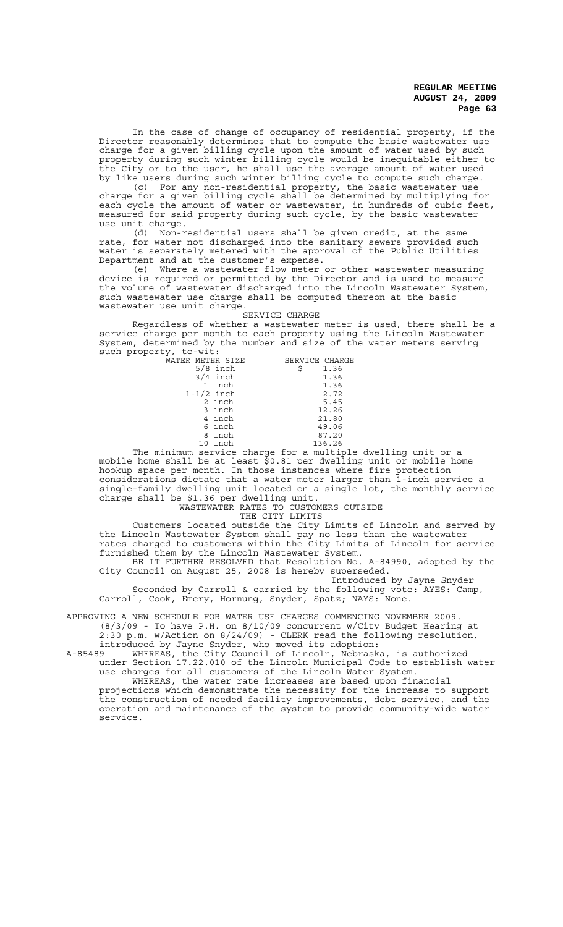In the case of change of occupancy of residential property, if the Director reasonably determines that to compute the basic wastewater use charge for a given billing cycle upon the amount of water used by such property during such winter billing cycle would be inequitable either to the City or to the user, he shall use the average amount of water used by like users during such winter billing cycle to compute such charge.

(c) For any non-residential property, the basic wastewater use charge for a given billing cycle shall be determined by multiplying for each cycle the amount of water or wastewater, in hundreds of cubic feet, measured for said property during such cycle, by the basic wastewater use unit charge.

(d) Non-residential users shall be given credit, at the same rate, for water not discharged into the sanitary sewers provided such water is separately metered with the approval of the Public Utilities Department and at the customer's expense.

(e) Where a wastewater flow meter or other wastewater measuring device is required or permitted by the Director and is used to measure the volume of wastewater discharged into the Lincoln Wastewater System, such wastewater use charge shall be computed thereon at the basic wastewater use unit charge.

# SERVICE CHARGE

Regardless of whether a wastewater meter is used, there shall be a service charge per month to each property using the Lincoln Wastewater System, determined by the number and size of the water meters serving such property, to-wit:

| WATER METER SIZE | SERVICE CHARGE |
|------------------|----------------|
| $5/8$ inch       | Ŝ<br>1.36      |
| $3/4$ inch       | 1.36           |
| 1 inch           | 1.36           |
| $1-1/2$ inch     | 2.72           |
| 2 inch           | 5.45           |
| 3 inch           | 12.26          |
| 4 inch           | 21.80          |
| 6 inch           | 49.06          |
| 8 inch           | 87.20          |
| 10 inch          | 136.26         |

The minimum service charge for a multiple dwelling unit or a mobile home shall be at least \$0.81 per dwelling unit or mobile home hookup space per month. In those instances where fire protection considerations dictate that a water meter larger than 1-inch service a single-family dwelling unit located on a single lot, the monthly service charge shall be \$1.36 per dwelling unit.

### WASTEWATER RATES TO CUSTOMERS OUTSIDE THE CITY LIMITS

Customers located outside the City Limits of Lincoln and served by the Lincoln Wastewater System shall pay no less than the wastewater rates charged to customers within the City Limits of Lincoln for service furnished them by the Lincoln Wastewater System.

BE IT FURTHER RESOLVED that Resolution No. A-84990, adopted by the City Council on August 25, 2008 is hereby superseded.

Introduced by Jayne Snyder Seconded by Carroll & carried by the following vote: AYES: Camp, Carroll, Cook, Emery, Hornung, Snyder, Spatz; NAYS: None.

APPROVING A NEW SCHEDULE FOR WATER USE CHARGES COMMENCING NOVEMBER 2009. (8/3/09 - To have P.H. on 8/10/09 concurrent w/City Budget Hearing at 2:30 p.m. w/Action on 8/24/09) - CLERK read the following resolution,

introduced by Jayne Snyder, who moved its adoption: A-85489 WHEREAS, the City Council of Lincoln, Nebraska, is authorized under Section 17.22.010 of the Lincoln Municipal Code to establish water

use charges for all customers of the Lincoln Water System. WHEREAS, the water rate increases are based upon financial projections which demonstrate the necessity for the increase to support the construction of needed facility improvements, debt service, and the operation and maintenance of the system to provide community-wide water service.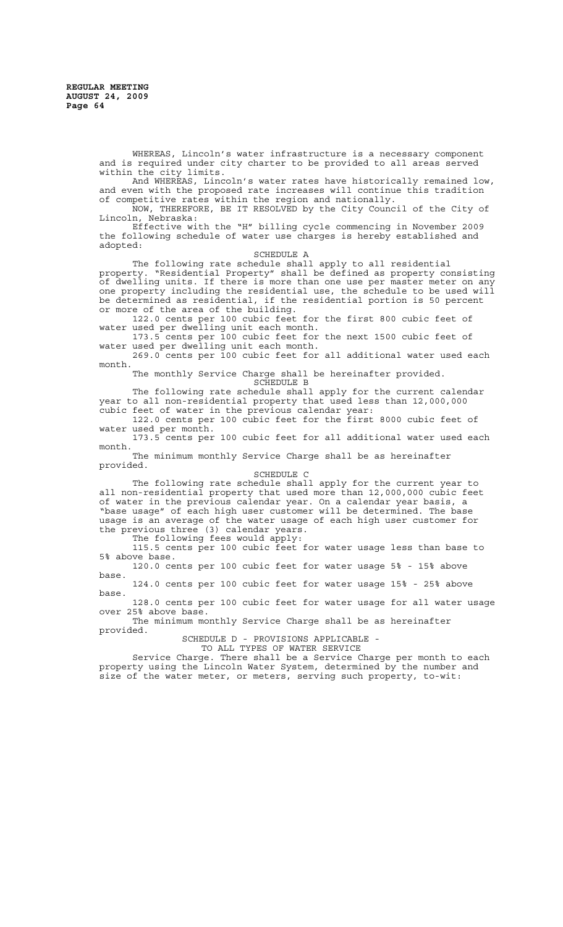WHEREAS, Lincoln's water infrastructure is a necessary component and is required under city charter to be provided to all areas served within the city limits.

And WHEREAS, Lincoln's water rates have historically remained low, and even with the proposed rate increases will continue this tradition of competitive rates within the region and nationally.

NOW, THEREFORE, BE IT RESOLVED by the City Council of the City of Lincoln, Nebraska:

Effective with the "H" billing cycle commencing in November 2009 the following schedule of water use charges is hereby established and adopted:

SCHEDULE A

The following rate schedule shall apply to all residential property. "Residential Property" shall be defined as property consisting of dwelling units. If there is more than one use per master meter on any one property including the residential use, the schedule to be used will be determined as residential, if the residential portion is 50 percent or more of the area of the building.

122.0 cents per 100 cubic feet for the first 800 cubic feet of water used per dwelling unit each month.

173.5 cents per 100 cubic feet for the next 1500 cubic feet of water used per dwelling unit each month.

269.0 cents per 100 cubic feet for all additional water used each month.

The monthly Service Charge shall be hereinafter provided. SCHEDULE B

The following rate schedule shall apply for the current calendar year to all non-residential property that used less than 12,000,000 cubic feet of water in the previous calendar year:

122.0 cents per 100 cubic feet for the first 8000 cubic feet of water used per month.

173.5 cents per 100 cubic feet for all additional water used each month.

The minimum monthly Service Charge shall be as hereinafter provided.

SCHEDULE C

The following rate schedule shall apply for the current year to all non-residential property that used more than 12,000,000 cubic feet of water in the previous calendar year. On a calendar year basis, a "base usage" of each high user customer will be determined. The base usage is an average of the water usage of each high user customer for the previous three (3) calendar years.

The following fees would apply: 115.5 cents per 100 cubic feet for water usage less than base to 5% above base.

120.0 cents per 100 cubic feet for water usage 5% - 15% above base.

124.0 cents per 100 cubic feet for water usage 15% - 25% above base.

128.0 cents per 100 cubic feet for water usage for all water usage over 25% above base.

The minimum monthly Service Charge shall be as hereinafter provided.

SCHEDULE D - PROVISIONS APPLICABLE -

TO ALL TYPES OF WATER SERVICE

Service Charge. There shall be a Service Charge per month to each property using the Lincoln Water System, determined by the number and size of the water meter, or meters, serving such property, to-wit: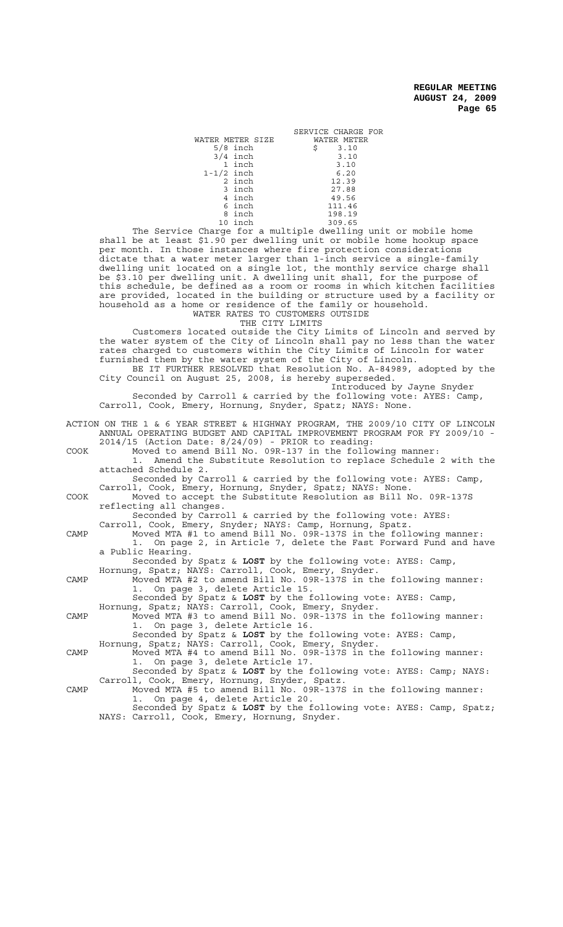|                  | SERVICE CHARGE FOR |
|------------------|--------------------|
| WATER METER SIZE | WATER METER        |
| $5/8$ inch       | \$<br>3.10         |
| $3/4$ inch       | 3.10               |
| 1 inch           | 3.10               |
| $1-1/2$ inch     | 6.20               |
| 2 inch           | 12.39              |
| 3 inch           | 27.88              |
| 4 inch           | 49.56              |
| 6 inch           | 111.46             |
| 8 inch           | 198.19             |
| 10 inch          | 309.65             |
|                  |                    |

The Service Charge for a multiple dwelling unit or mobile home shall be at least \$1.90 per dwelling unit or mobile home hookup space per month. In those instances where fire protection considerations dictate that a water meter larger than 1-inch service a single-family dwelling unit located on a single lot, the monthly service charge shall be \$3.10 per dwelling unit. A dwelling unit shall, for the purpose of this schedule, be defined as a room or rooms in which kitchen facilities are provided, located in the building or structure used by a facility or household as a home or residence of the family or household. WATER RATES TO CUSTOMERS OUTSIDE

THE CITY LIMITS

Customers located outside the City Limits of Lincoln and served by the water system of the City of Lincoln shall pay no less than the water rates charged to customers within the City Limits of Lincoln for water furnished them by the water system of the City of Lincoln. BE IT FURTHER RESOLVED that Resolution No. A-84989, adopted by the

City Council on August 25, 2008, is hereby superseded. Introduced by Jayne Snyder

Seconded by Carroll & carried by the following vote: AYES: Camp, Carroll, Cook, Emery, Hornung, Snyder, Spatz; NAYS: None.

|      | ACTION ON THE 1 & 6 YEAR STREET & HIGHWAY PROGRAM, THE 2009/10 CITY OF LINCOLN<br>ANNUAL OPERATING BUDGET AND CAPITAL IMPROVEMENT PROGRAM FOR FY 2009/10 - |
|------|------------------------------------------------------------------------------------------------------------------------------------------------------------|
|      | $2014/15$ (Action Date: $8/24/09$ ) - PRIOR to reading:                                                                                                    |
| COOK | Moved to amend Bill No. 09R-137 in the following manner:                                                                                                   |
|      | 1. Amend the Substitute Resolution to replace Schedule 2 with the                                                                                          |
|      | attached Schedule 2.                                                                                                                                       |
|      | Seconded by Carroll & carried by the following vote: AYES: Camp,                                                                                           |
|      | Carroll, Cook, Emery, Hornung, Snyder, Spatz; NAYS: None.                                                                                                  |
| COOK | Moved to accept the Substitute Resolution as Bill No. 09R-137S                                                                                             |
|      | reflecting all changes.                                                                                                                                    |
|      | Seconded by Carroll & carried by the following vote: AYES:                                                                                                 |
|      | Carroll, Cook, Emery, Snyder; NAYS: Camp, Hornung, Spatz.                                                                                                  |
| CAMP | Moved MTA #1 to amend Bill No. 09R-137S in the following manner:                                                                                           |
|      | 1. On page 2, in Article 7, delete the Fast Forward Fund and have                                                                                          |
|      | a Public Hearing.                                                                                                                                          |
|      | Seconded by Spatz & LOST by the following vote: AYES: Camp,<br>Hornung, Spatz; NAYS: Carroll, Cook, Emery, Snyder.                                         |
| CAMP | Moved MTA #2 to amend Bill No. 09R-137S in the following manner:                                                                                           |
|      | 1. On page 3, delete Article 15.                                                                                                                           |
|      | Seconded by Spatz & LOST by the following vote: AYES: Camp,                                                                                                |
|      | Hornung, Spatz; NAYS: Carroll, Cook, Emery, Snyder.                                                                                                        |
| CAMP | Moved MTA #3 to amend Bill No. 09R-137S in the following manner:                                                                                           |
|      | 1. On page 3, delete Article 16.                                                                                                                           |
|      | Seconded by Spatz & LOST by the following vote: AYES: Camp,                                                                                                |
|      | Hornung, Spatz; NAYS: Carroll, Cook, Emery, Snyder.                                                                                                        |
| CAMP | Moved MTA #4 to amend Bill No. 09R-137S in the following manner:                                                                                           |
|      | 1. On page 3, delete Article 17.                                                                                                                           |
|      | Seconded by Spatz & LOST by the following vote: AYES: Camp; NAYS:                                                                                          |
|      | Carroll, Cook, Emery, Hornung, Snyder, Spatz.                                                                                                              |
| CAMP | Moved MTA #5 to amend Bill No. 09R-137S in the following manner:                                                                                           |
|      | 1. On page 4, delete Article 20.                                                                                                                           |
|      | Seconded by Spatz & LOST by the following vote: AYES: Camp, Spatz;                                                                                         |
|      | NAYS: Carroll, Cook, Emery, Hornung, Snyder.                                                                                                               |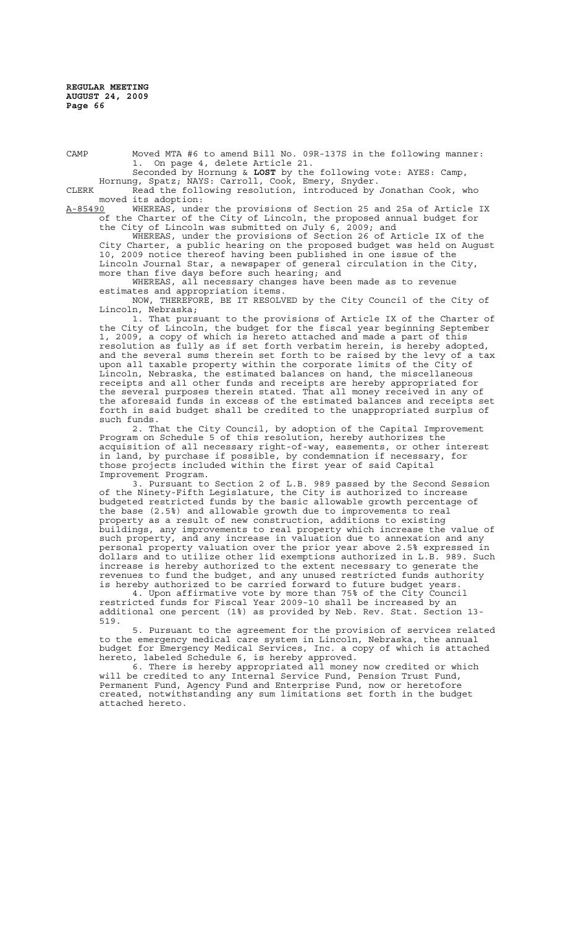CAMP Moved MTA #6 to amend Bill No. 09R-137S in the following manner: 1. On page 4, delete Article 21.

Seconded by Hornung & **LOST** by the following vote: AYES: Camp, Hornung, Spatz; NAYS: Carroll, Cook, Emery, Snyder.

CLERK Read the following resolution, introduced by Jonathan Cook, who moved its adoption:<br>A-85490 WHEREAS, under

A-85490 WHEREAS, under the provisions of Section 25 and 25a of Article IX of the Charter of the City of Lincoln, the proposed annual budget for the City of Lincoln was submitted on July 6, 2009; and

WHEREAS, under the provisions of Section 26 of Article IX of the City Charter, a public hearing on the proposed budget was held on August 10, 2009 notice thereof having been published in one issue of the Lincoln Journal Star, a newspaper of general circulation in the City, more than five days before such hearing; and

WHEREAS, all necessary changes have been made as to revenue estimates and appropriation items.

NOW, THEREFORE, BE IT RESOLVED by the City Council of the City of Lincoln, Nebraska;

1. That pursuant to the provisions of Article IX of the Charter of the City of Lincoln, the budget for the fiscal year beginning September 1, 2009, a copy of which is hereto attached and made a part of this resolution as fully as if set forth verbatim herein, is hereby adopted, and the several sums therein set forth to be raised by the levy of a tax upon all taxable property within the corporate limits of the City of Lincoln, Nebraska, the estimated balances on hand, the miscellaneous receipts and all other funds and receipts are hereby appropriated for the several purposes therein stated. That all money received in any of the aforesaid funds in excess of the estimated balances and receipts set forth in said budget shall be credited to the unappropriated surplus of such funds.

2. That the City Council, by adoption of the Capital Improvement Program on Schedule 5 of this resolution, hereby authorizes the acquisition of all necessary right-of-way, easements, or other interest in land, by purchase if possible, by condemnation if necessary, for those projects included within the first year of said Capital Improvement Program.

3. Pursuant to Section 2 of L.B. 989 passed by the Second Session of the Ninety-Fifth Legislature, the City is authorized to increase budgeted restricted funds by the basic allowable growth percentage of the base (2.5%) and allowable growth due to improvements to real property as a result of new construction, additions to existing buildings, any improvements to real property which increase the value of such property, and any increase in valuation due to annexation and any personal property valuation over the prior year above 2.5% expressed in dollars and to utilize other lid exemptions authorized in L.B. 989. Such increase is hereby authorized to the extent necessary to generate the revenues to fund the budget, and any unused restricted funds authority is hereby authorized to be carried forward to future budget years.

4. Upon affirmative vote by more than 75% of the City Council restricted funds for Fiscal Year 2009-10 shall be increased by an additional one percent (1%) as provided by Neb. Rev. Stat. Section 13- 519.

5. Pursuant to the agreement for the provision of services related to the emergency medical care system in Lincoln, Nebraska, the annual budget for Emergency Medical Services, Inc. a copy of which is attached hereto, labeled Schedule 6, is hereby approved.

6. There is hereby appropriated all money now credited or which will be credited to any Internal Service Fund, Pension Trust Fund, Permanent Fund, Agency Fund and Enterprise Fund, now or heretofore created, notwithstanding any sum limitations set forth in the budget attached hereto.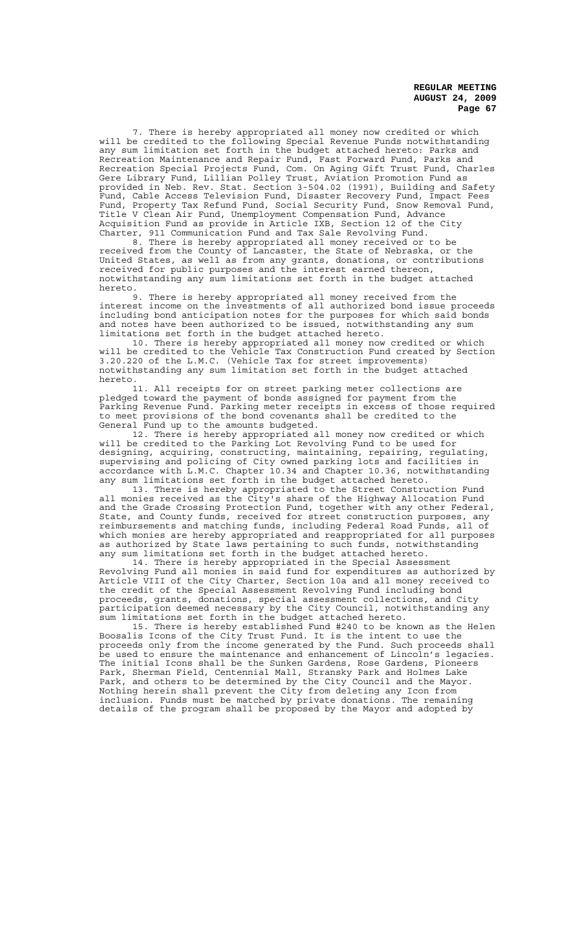7. There is hereby appropriated all money now credited or which will be credited to the following Special Revenue Funds notwithstanding any sum limitation set forth in the budget attached hereto: Parks and Recreation Maintenance and Repair Fund, Fast Forward Fund, Parks and Recreation Special Projects Fund, Com. On Aging Gift Trust Fund, Charles Gere Library Fund, Lillian Polley Trust, Aviation Promotion Fund as provided in Neb. Rev. Stat. Section 3-504.02 (1991), Building and Safety Fund, Cable Access Television Fund, Disaster Recovery Fund, Impact Fees Fund, Property Tax Refund Fund, Social Security Fund, Snow Removal Fund, Title V Clean Air Fund, Unemployment Compensation Fund, Advance Acquisition Fund as provide in Article IXB, Section 12 of the City Charter, 911 Communication Fund and Tax Sale Revolving Fund.

8. There is hereby appropriated all money received or to be received from the County of Lancaster, the State of Nebraska, or the United States, as well as from any grants, donations, or contributions received for public purposes and the interest earned thereon, notwithstanding any sum limitations set forth in the budget attached hereto.

9. There is hereby appropriated all money received from the interest income on the investments of all authorized bond issue proceeds including bond anticipation notes for the purposes for which said bonds and notes have been authorized to be issued, notwithstanding any sum limitations set forth in the budget attached hereto.

10. There is hereby appropriated all money now credited or which will be credited to the Vehicle Tax Construction Fund created by Section 3.20.220 of the L.M.C. (Vehicle Tax for street improvements) notwithstanding any sum limitation set forth in the budget attached hereto.

11. All receipts for on street parking meter collections are pledged toward the payment of bonds assigned for payment from the Parking Revenue Fund. Parking meter receipts in excess of those required to meet provisions of the bond covenants shall be credited to the General Fund up to the amounts budgeted.

12. There is hereby appropriated all money now credited or which will be credited to the Parking Lot Revolving Fund to be used for designing, acquiring, constructing, maintaining, repairing, regulating, supervising and policing of City owned parking lots and facilities in accordance with L.M.C. Chapter 10.34 and Chapter 10.36, notwithstanding any sum limitations set forth in the budget attached hereto.

13. There is hereby appropriated to the Street Construction Fund all monies received as the City's share of the Highway Allocation Fund and the Grade Crossing Protection Fund, together with any other Federal, State, and County funds, received for street construction purposes, any reimbursements and matching funds, including Federal Road Funds, all of which monies are hereby appropriated and reappropriated for all purposes as authorized by State laws pertaining to such funds, notwithstanding any sum limitations set forth in the budget attached hereto.

14. There is hereby appropriated in the Special Assessment Revolving Fund all monies in said fund for expenditures as authorized by Article VIII of the City Charter, Section 10a and all money received to the credit of the Special Assessment Revolving Fund including bond proceeds, grants, donations, special assessment collections, and City participation deemed necessary by the City Council, notwithstanding any sum limitations set forth in the budget attached hereto.

15. There is hereby established Fund #240 to be known as the Helen Boosalis Icons of the City Trust Fund. It is the intent to use the proceeds only from the income generated by the Fund. Such proceeds shall be used to ensure the maintenance and enhancement of Lincoln's legacies. The initial Icons shall be the Sunken Gardens, Rose Gardens, Pioneers Park, Sherman Field, Centennial Mall, Stransky Park and Holmes Lake Park, and others to be determined by the City Council and the Mayor. Nothing herein shall prevent the City from deleting any Icon from inclusion. Funds must be matched by private donations. The remaining details of the program shall be proposed by the Mayor and adopted by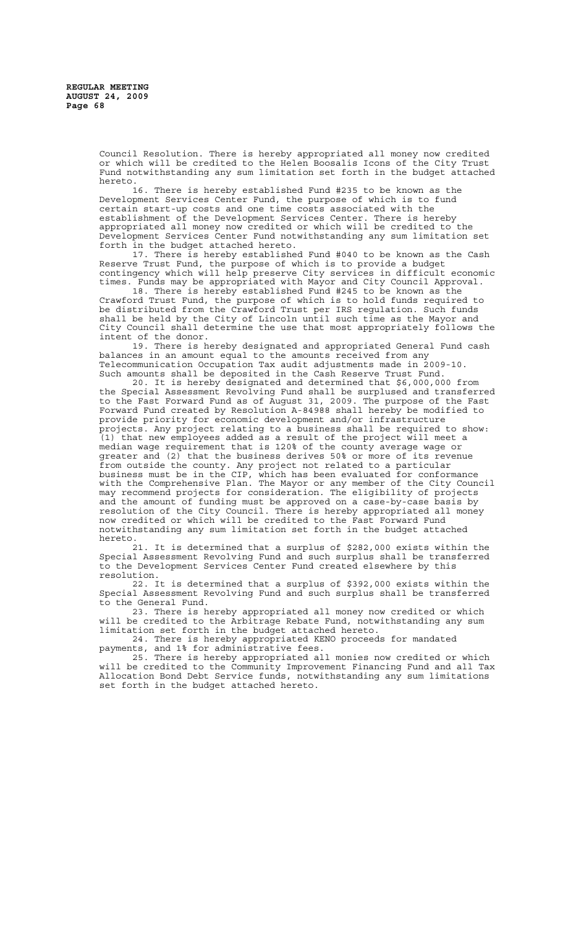Council Resolution. There is hereby appropriated all money now credited or which will be credited to the Helen Boosalis Icons of the City Trust Fund notwithstanding any sum limitation set forth in the budget attached hereto.

16. There is hereby established Fund #235 to be known as the Development Services Center Fund, the purpose of which is to fund certain start-up costs and one time costs associated with the establishment of the Development Services Center. There is hereby appropriated all money now credited or which will be credited to the Development Services Center Fund notwithstanding any sum limitation set forth in the budget attached hereto.

17. There is hereby established Fund #040 to be known as the Cash Reserve Trust Fund, the purpose of which is to provide a budget contingency which will help preserve City services in difficult economic times. Funds may be appropriated with Mayor and City Council Approval.

18. There is hereby established Fund #245 to be known as the Crawford Trust Fund, the purpose of which is to hold funds required to be distributed from the Crawford Trust per IRS regulation. Such funds shall be held by the City of Lincoln until such time as the Mayor and City Council shall determine the use that most appropriately follows the intent of the donor.

19. There is hereby designated and appropriated General Fund cash balances in an amount equal to the amounts received from any Telecommunication Occupation Tax audit adjustments made in 2009-10. Such amounts shall be deposited in the Cash Reserve Trust Fund.

20. It is hereby designated and determined that \$6,000,000 from the Special Assessment Revolving Fund shall be surplused and transferred to the Fast Forward Fund as of August 31, 2009. The purpose of the Fast Forward Fund created by Resolution A-84988 shall hereby be modified to provide priority for economic development and/or infrastructure projects. Any project relating to a business shall be required to show: (1) that new employees added as a result of the project will meet a median wage requirement that is 120% of the county average wage or greater and (2) that the business derives 50% or more of its revenue from outside the county. Any project not related to a particular business must be in the CIP, which has been evaluated for conformance with the Comprehensive Plan. The Mayor or any member of the City Council may recommend projects for consideration. The eligibility of projects and the amount of funding must be approved on a case-by-case basis by resolution of the City Council. There is hereby appropriated all money now credited or which will be credited to the Fast Forward Fund notwithstanding any sum limitation set forth in the budget attached hereto.

21. It is determined that a surplus of \$282,000 exists within the Special Assessment Revolving Fund and such surplus shall be transferred to the Development Services Center Fund created elsewhere by this resolution.

22. It is determined that a surplus of \$392,000 exists within the Special Assessment Revolving Fund and such surplus shall be transferred to the General Fund.

23. There is hereby appropriated all money now credited or which will be credited to the Arbitrage Rebate Fund, notwithstanding any sum limitation set forth in the budget attached hereto.

24. There is hereby appropriated KENO proceeds for mandated payments, and 1% for administrative fees.

25. There is hereby appropriated all monies now credited or which will be credited to the Community Improvement Financing Fund and all Tax Allocation Bond Debt Service funds, notwithstanding any sum limitations set forth in the budget attached hereto.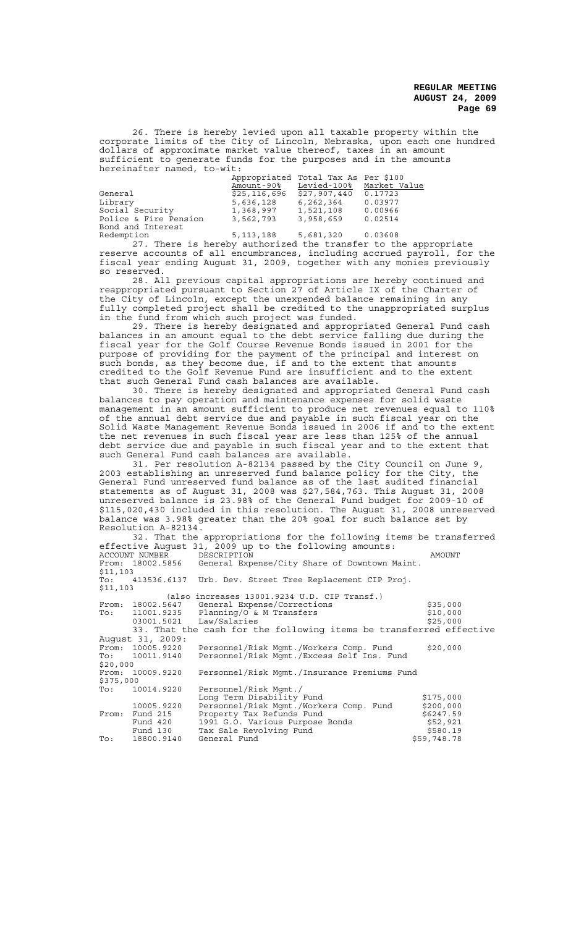26. There is hereby levied upon all taxable property within the corporate limits of the City of Lincoln, Nebraska, upon each one hundred dollars of approximate market value thereof, taxes in an amount sufficient to generate funds for the purposes and in the amounts hereinafter named, to-wit:

|                       |              | Appropriated Total Tax As Per \$100 |              |
|-----------------------|--------------|-------------------------------------|--------------|
|                       | Amount-90%   | Levied-100%                         | Market Value |
| General               | \$25,116,696 | \$27,907,440                        | 0.17723      |
| Library               | 5,636,128    | 6,262,364                           | 0.03977      |
| Social Security       | 1,368,997    | 1,521,108                           | 0.00966      |
| Police & Fire Pension | 3,562,793    | 3,958,659                           | 0.02514      |
| Bond and Interest     |              |                                     |              |

Redemption 5,113,188 5,681,320 0.03608 27. There is hereby authorized the transfer to the appropriate reserve accounts of all encumbrances, including accrued payroll, for the fiscal year ending August 31, 2009, together with any monies previously so reserved.

28. All previous capital appropriations are hereby continued and reappropriated pursuant to Section 27 of Article IX of the Charter of the City of Lincoln, except the unexpended balance remaining in any fully completed project shall be credited to the unappropriated surplus in the fund from which such project was funded.

29. There is hereby designated and appropriated General Fund cash balances in an amount equal to the debt service falling due during the fiscal year for the Golf Course Revenue Bonds issued in 2001 for the purpose of providing for the payment of the principal and interest on such bonds, as they become due, if and to the extent that amounts credited to the Golf Revenue Fund are insufficient and to the extent that such General Fund cash balances are available.

30. There is hereby designated and appropriated General Fund cash balances to pay operation and maintenance expenses for solid waste management in an amount sufficient to produce net revenues equal to 110% of the annual debt service due and payable in such fiscal year on the Solid Waste Management Revenue Bonds issued in 2006 if and to the extent the net revenues in such fiscal year are less than 125% of the annual debt service due and payable in such fiscal year and to the extent that such General Fund cash balances are available.

31. Per resolution A-82134 passed by the City Council on June 9, 2003 establishing an unreserved fund balance policy for the City, the General Fund unreserved fund balance as of the last audited financial statements as of August 31, 2008 was \$27,584,763. This August 31, 2008 unreserved balance is 23.98% of the General Fund budget for 2009-10 of \$115,020,430 included in this resolution. The August 31, 2008 unreserved balance was 3.98% greater than the 20% goal for such balance set by Resolution A-82134.

32. That the appropriations for the following items be transferred effective August 31, 2009 up to the following amounts:<br>ACCOUNT NUMBER DESCRIPTION ACCOUNT NUMBER DESCRIPTION THE RESPONSIVE STATE OF AMOUNT<br>From: 18002.5856 General Expense/City Share of Downtown Maint. From: 18002.5856 General Expense/City Share of Downtown Maint.  $$11,103$ <br>To: 413536.6137 Urb. Dev. Street Tree Replacement CIP Proj.  $$11,103$ (also increases 13001.9234 U.D. CIP Transf.)<br>From: 18002.5647 General Expense/Corrections From: 18002.5647 General Expense/Corrections (335,000<br>To: 11001.9235 Planning/O & M Transfers (\$10,000<br>03001.5021 Law/Salaries (\$25,000 Planning/O & M Transfers \$10,000<br>Law/Salaries \$25,000 Law/Salaries 33. That the cash for the following items be transferred effective August 31, 2009:<br>From: 10005.9220 From: 10005.9220 Personnel/Risk Mgmt./Workers Comp. Fund \$20,000 To: 10011.9140 Personnel/Risk Mgmt./Excess Self Ins. Fund \$20,000<br>From: 10009.9220 Personnel/Risk Mgmt./Insurance Premiums Fund \$375,000<br>\$375,000<br>To: 10014.9220 Personnel/Risk Mgmt./ Long Term Disability Fund \$175,000 10005.9220 Personnel/Risk Mgmt./Workers Comp. Fund \$200,000 From: Fund 215 Property Tax Refunds Fund \$6247.59 Fund 420 1991 G.O. Various Purpose Bonds \$52,921 Fund 130 Tax Sale Revolving Fund \$580.19 To: 18800.9140 General Fund \$59,748.78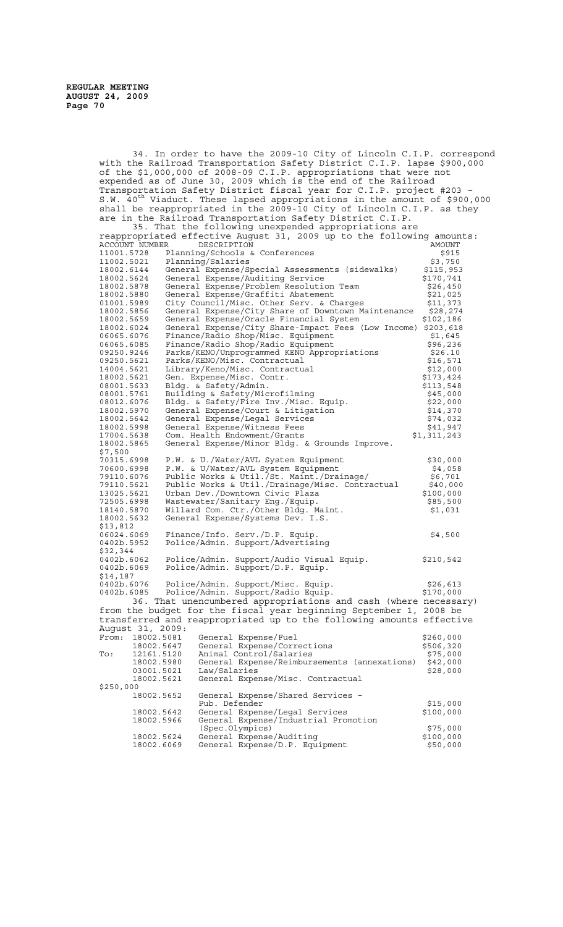34. In order to have the 2009-10 City of Lincoln C.I.P. correspond with the Railroad Transportation Safety District C.I.P. lapse \$900,000 of the \$1,000,000 of 2008-09 C.I.P. appropriations that were not expended as of June 30, 2009 which is the end of the Railroad Transportation Safety District fiscal year for C.I.P. project #203 – S.W. 40<sup>th</sup> Viaduct. These lapsed appropriations in the amount of \$900,000 shall be reappropriated in the 2009-10 City of Lincoln C.I.P. as they are in the Railroad Transportation Safety District C.I.P. 35. That the following unexpended appropriations are reappropriated effective August 31, 2009 up to the following amounts:

| . <u>.</u><br>ACCOUNT NUMBER DESCRIPTION | ---- <sub>-</sub> ---- - - - 1<br>$\mathbf{r}_{\mathbf{r}}$ are constructed and   | AMOUNT              |
|------------------------------------------|-----------------------------------------------------------------------------------|---------------------|
| 11001.5728                               | Planning/Schools & Conferences                                                    | \$915               |
| 11002.5021                               | Planning/Salaries                                                                 | \$3,750             |
| 18002.6144                               | General Expense/Special Assessments (sidewalks)                                   | \$115,953           |
| 18002.5624                               | General Expense/Auditing Service                                                  | \$170,741           |
| 18002.5878                               | General Expense/Problem Resolution Team                                           | \$26,450            |
| 18002.5880                               | General Expense/Graffiti Abatement                                                | \$21,025            |
| 01001.5989                               | City Council/Misc. Other Serv. & Charges                                          | \$11,373            |
| 18002.5856                               | General Expense/City Share of Downtown Maintenance                                | \$28, 274           |
| 18002.5659                               | General Expense/Oracle Financial System                                           | \$102,186           |
| 18002.6024                               | General Expense/City Share-Impact Fees (Low Income) \$203,618                     |                     |
| 06065.6076<br>06065.6085                 | Finance/Radio Shop/Misc. Equipment                                                | \$1,645<br>\$96,236 |
| 09250.9246                               | Finance/Radio Shop/Radio Equipment<br>Parks/KENO/Unprogrammed KENO Appropriations | \$26.10             |
| 09250.5621                               | Parks/KENO/Misc. Contractual                                                      | \$16,571            |
| 14004.5621                               | Library/Keno/Misc. Contractual                                                    | \$12,000            |
| 18002.5621                               | Gen. Expense/Misc. Contr.                                                         | \$173,424           |
| 08001.5633                               | Bldg. & Safety/Admin.                                                             | \$113,548           |
| 08001.5761                               | Building & Safety/Microfilming                                                    | \$45,000            |
| 08012.6076                               | Bldg. & Safety/Fire Inv./Misc. Equip.                                             | \$22,000            |
| 18002.5970                               | General Expense/Court & Litigation                                                | \$14,370            |
| 18002.5642                               | General Expense/Legal Services                                                    | \$74,032            |
| 18002.5998                               | General Expense/Witness Fees                                                      | \$41,947            |
| 17004.5638                               | Com. Health Endowment/Grants                                                      | \$1,311,243         |
| 18002.5865                               | General Expense/Minor Bldg. & Grounds Improve.                                    |                     |
| \$7,500                                  |                                                                                   |                     |
| 70315.6998                               | P.W. & U./Water/AVL System Equipment                                              | \$30,000            |
| 70600.6998                               | P.W. & U/Water/AVL System Equipment                                               | \$4,058             |
| 79110.6076                               | Public Works & Util./St. Maint./Drainage/                                         | \$6,701             |
| 79110.5621                               | Public Works & Util./Drainage/Misc. Contractual                                   | \$40,000            |
| 13025.5621                               | Urban Dev./Downtown Civic Plaza                                                   | \$100,000           |
| 72505.6998                               | Wastewater/Sanitary Eng./Equip.                                                   | \$85,500            |
| 18140.5870                               | Willard Com. Ctr./Other Bldg. Maint.                                              | \$1,031             |
| 18002.5632                               | General Expense/Systems Dev. I.S.                                                 |                     |
| \$13,812                                 |                                                                                   |                     |
| 06024.6069                               | Finance/Info. Serv./D.P. Equip.                                                   | \$4,500             |
| 0402b.5952                               | Police/Admin. Support/Advertising                                                 |                     |
| \$32,344                                 |                                                                                   |                     |
| 0402b.6062                               | Police/Admin. Support/Audio Visual Equip.                                         | \$210,542           |
| 0402b.6069                               | Police/Admin. Support/D.P. Equip.                                                 |                     |
| \$14,187                                 |                                                                                   |                     |
| 0402b.6076                               | Police/Admin. Support/Misc. Equip.                                                | \$26,613            |
| 0402b.6085                               | Police/Admin. Support/Radio Equip.                                                | \$170,000           |
|                                          | 36. That unencumbered appropriations and cash (where necessary)                   |                     |
|                                          | from the budget for the fiscal year beginning September 1, 2008 be                |                     |
|                                          | transferred and reappropriated up to the following amounts effective              |                     |
| August 31, 2009:                         |                                                                                   |                     |
| From: 18002.5081                         | General Expense/Fuel                                                              | \$260,000           |
| 18002.5647                               | General Expense/Corrections                                                       | \$506,320           |
| To:<br>12161.5120                        | Animal Control/Salaries                                                           | \$75,000            |
| 18002.5980                               | General Expense/Reimbursements (annexations)                                      | \$42,000            |
| 03001.5021                               | Law/Salaries                                                                      | \$28,000            |
| 18002.5621                               | General Expense/Misc. Contractual                                                 |                     |
| \$250,000                                |                                                                                   |                     |
| 18002.5652                               | General Expense/Shared Services -                                                 |                     |
|                                          | Pub. Defender                                                                     | \$15,000            |
| 18002.5642                               | General Expense/Legal Services                                                    | \$100,000           |
| 18002.5966                               | General Expense/Industrial Promotion                                              |                     |
|                                          | (Spec.Olympics)                                                                   | \$75,000            |
| 18002.5624                               | General Expense/Auditing                                                          | \$100,000           |
| 18002.6069                               | General Expense/D.P. Equipment                                                    | \$50,000            |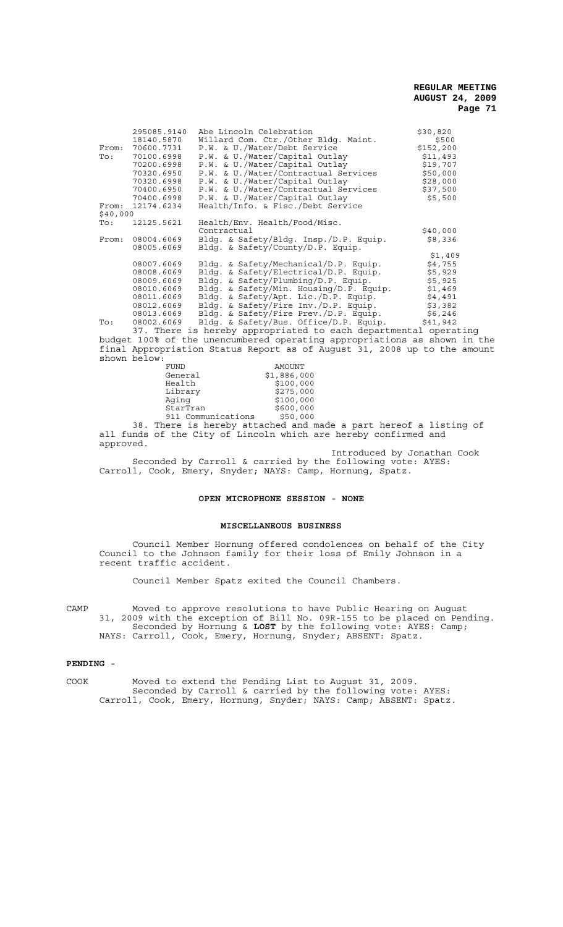|          | 295085.9140 | Abe Lincoln Celebration                                                                                        | \$30,820   |  |
|----------|-------------|----------------------------------------------------------------------------------------------------------------|------------|--|
|          | 18140.5870  | Willard Com. Ctr./Other Bldq. Maint.                                                                           | \$500      |  |
| From:    | 70600.7731  | P.W. & U./Water/Debt Service                                                                                   | \$152, 200 |  |
| To:      | 70100.6998  | P.W. & U./Water/Capital Outlay                                                                                 | \$11,493   |  |
|          | 70200.6998  | P.W. & U./Water/Capital Outlay                                                                                 | \$19,707   |  |
|          | 70320.6950  | P.W. & U./Water/Contractual Services                                                                           | \$50,000   |  |
|          | 70320.6998  | P.W. & U./Water/Capital Outlay                                                                                 | \$28,000   |  |
|          | 70400.6950  | P.W. & U./Water/Contractual Services                                                                           | \$37,500   |  |
|          | 70400.6998  | P.W. & U./Water/Capital Outlay                                                                                 | \$5,500    |  |
| From:    | 12174.6234  | Health/Info. & Fisc./Debt Service                                                                              |            |  |
| \$40,000 |             |                                                                                                                |            |  |
| To:      | 12125.5621  | Health/Env. Health/Food/Misc.                                                                                  |            |  |
|          |             | Contractual                                                                                                    | \$40,000   |  |
| From:    | 08004.6069  | Bldg. & Safety/Bldg. Insp./D.P. Equip.                                                                         | \$8,336    |  |
|          | 08005.6069  | Bldg. & Safety/County/D.P. Equip.                                                                              |            |  |
|          |             |                                                                                                                | \$1,409    |  |
|          | 08007.6069  | Bldg. & Safety/Mechanical/D.P. Equip.                                                                          | \$4,755    |  |
|          | 08008.6069  | Bldg. & Safety/Electrical/D.P. Equip.                                                                          | \$5,929    |  |
|          | 08009.6069  | Bldg. & Safety/Plumbing/D.P. Equip.                                                                            | \$5,925    |  |
|          | 08010.6069  | Bldg. & Safety/Min. Housing/D.P. Equip.                                                                        | \$1,469    |  |
|          | 08011.6069  | Bldg. & Safety/Apt. Lic./D.P. Equip.                                                                           | \$4,491    |  |
|          | 08012.6069  | Bldg. & Safety/Fire Inv./D.P. Equip.                                                                           | \$3,382    |  |
|          | 08013.6069  | Bldg. & Safety/Fire Prev./D.P. Equip.                                                                          | \$6,246    |  |
| To:      | 08002.6069  | Bldg. & Safety/Bus. Office/D.P. Equip.                                                                         | \$41,942   |  |
|          |             | on matrix at a strong the state of a strong state of the state of the state of the state of the state of the s |            |  |

37. There is hereby appropriated to each departmental operating budget 100% of the unencumbered operating appropriations as shown in the final Appropriation Status Report as of August 31, 2008 up to the amount shown below:

|     | FUND                            | AMOUNT      |
|-----|---------------------------------|-------------|
|     | General                         | \$1,886,000 |
|     | Health                          | \$100,000   |
|     | Library                         | \$275,000   |
|     | Aging                           | \$100,000   |
|     | StarTran                        | \$600,000   |
|     | 911 Communications              | \$50,000    |
| ס כ | There is bereby attached and ma |             |

38. There is hereby attached and made a part hereof a listing of all funds of the City of Lincoln which are hereby confirmed and approved.

Introduced by Jonathan Cook Seconded by Carroll & carried by the following vote: AYES: Carroll, Cook, Emery, Snyder; NAYS: Camp, Hornung, Spatz.

# **OPEN MICROPHONE SESSION - NONE**

## **MISCELLANEOUS BUSINESS**

Council Member Hornung offered condolences on behalf of the City Council to the Johnson family for their loss of Emily Johnson in a recent traffic accident.

Council Member Spatz exited the Council Chambers.

CAMP Moved to approve resolutions to have Public Hearing on August 31, 2009 with the exception of Bill No. 09R-155 to be placed on Pending. Seconded by Hornung & **LOST** by the following vote: AYES: Camp; NAYS: Carroll, Cook, Emery, Hornung, Snyder; ABSENT: Spatz.

#### **PENDING -**

COOK Moved to extend the Pending List to August 31, 2009. Seconded by Carroll & carried by the following vote: AYES: Carroll, Cook, Emery, Hornung, Snyder; NAYS: Camp; ABSENT: Spatz.